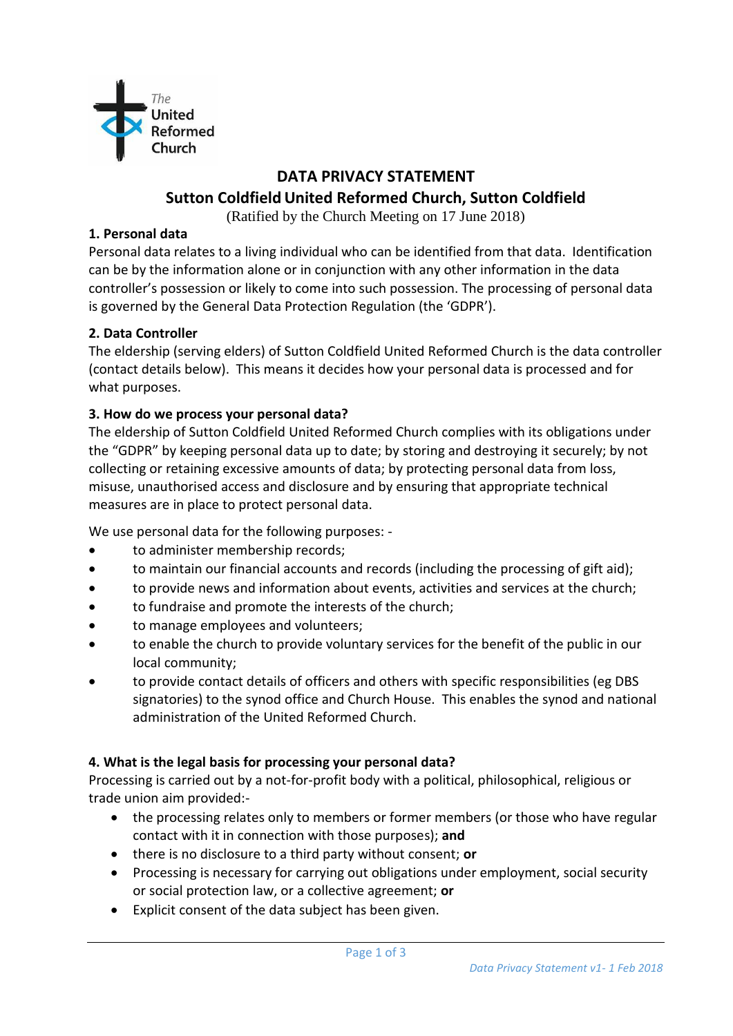

# **DATA PRIVACY STATEMENT**

# **Sutton Coldfield United Reformed Church, Sutton Coldfield**

(Ratified by the Church Meeting on 17 June 2018)

#### **1. Personal data**

Personal data relates to a living individual who can be identified from that data. Identification can be by the information alone or in conjunction with any other information in the data controller's possession or likely to come into such possession. The processing of personal data is governed by the General Data Protection Regulation (the 'GDPR').

### **2. Data Controller**

The eldership (serving elders) of Sutton Coldfield United Reformed Church is the data controller (contact details below). This means it decides how your personal data is processed and for what purposes.

#### **3. How do we process your personal data?**

The eldership of Sutton Coldfield United Reformed Church complies with its obligations under the "GDPR" by keeping personal data up to date; by storing and destroying it securely; by not collecting or retaining excessive amounts of data; by protecting personal data from loss, misuse, unauthorised access and disclosure and by ensuring that appropriate technical measures are in place to protect personal data.

We use personal data for the following purposes: -

- to administer membership records;
- to maintain our financial accounts and records (including the processing of gift aid);
- to provide news and information about events, activities and services at the church;
- to fundraise and promote the interests of the church;
- to manage employees and volunteers;
- to enable the church to provide voluntary services for the benefit of the public in our local community;
- to provide contact details of officers and others with specific responsibilities (eg DBS signatories) to the synod office and Church House. This enables the synod and national administration of the United Reformed Church.

#### **4. What is the legal basis for processing your personal data?**

Processing is carried out by a not-for-profit body with a political, philosophical, religious or trade union aim provided:-

- the processing relates only to members or former members (or those who have regular contact with it in connection with those purposes); **and**
- there is no disclosure to a third party without consent; **or**
- Processing is necessary for carrying out obligations under employment, social security or social protection law, or a collective agreement; **or**
- Explicit consent of the data subject has been given.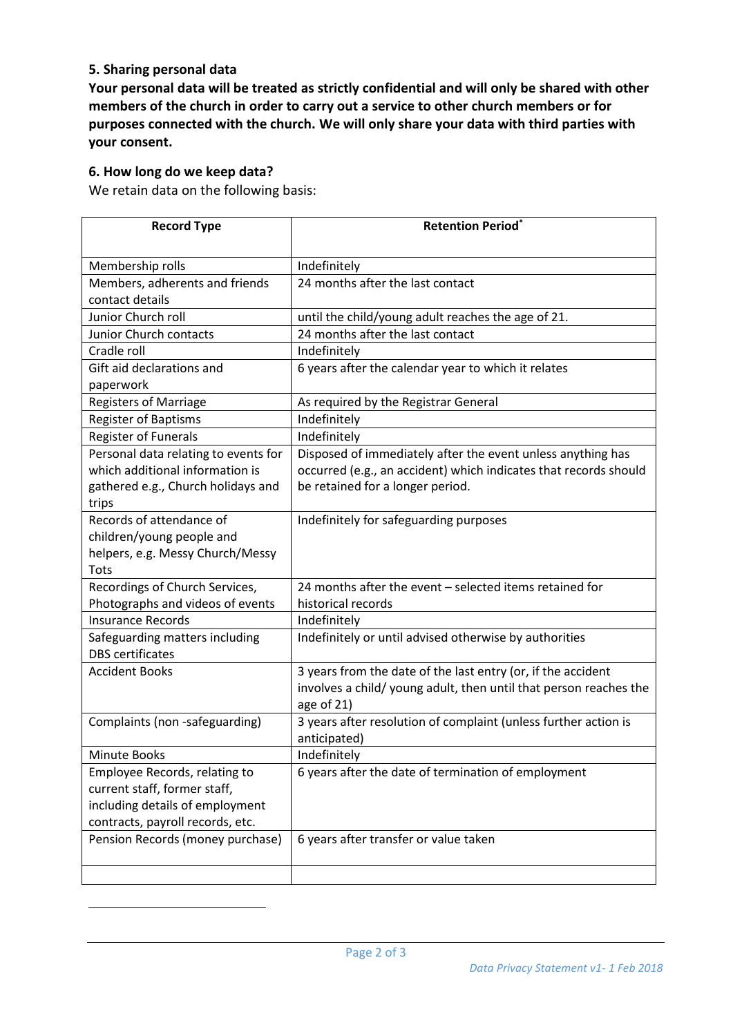#### **5. Sharing personal data**

**Your personal data will be treated as strictly confidential and will only be shared with other members of the church in order to carry out a service to other church members or for purposes connected with the church. We will only share your data with third parties with your consent.**

#### **6. How long do we keep data?**

1

We retain data on the following basis:

| <b>Record Type</b>                                                                                                     | <b>Retention Period*</b>                                                                                                                                            |
|------------------------------------------------------------------------------------------------------------------------|---------------------------------------------------------------------------------------------------------------------------------------------------------------------|
| Membership rolls                                                                                                       | Indefinitely                                                                                                                                                        |
| Members, adherents and friends<br>contact details                                                                      | 24 months after the last contact                                                                                                                                    |
| Junior Church roll                                                                                                     | until the child/young adult reaches the age of 21.                                                                                                                  |
| Junior Church contacts                                                                                                 | 24 months after the last contact                                                                                                                                    |
| Cradle roll                                                                                                            | Indefinitely                                                                                                                                                        |
| Gift aid declarations and<br>paperwork                                                                                 | 6 years after the calendar year to which it relates                                                                                                                 |
| <b>Registers of Marriage</b>                                                                                           | As required by the Registrar General                                                                                                                                |
| <b>Register of Baptisms</b>                                                                                            | Indefinitely                                                                                                                                                        |
| <b>Register of Funerals</b>                                                                                            | Indefinitely                                                                                                                                                        |
| Personal data relating to events for<br>which additional information is<br>gathered e.g., Church holidays and<br>trips | Disposed of immediately after the event unless anything has<br>occurred (e.g., an accident) which indicates that records should<br>be retained for a longer period. |
| Records of attendance of<br>children/young people and<br>helpers, e.g. Messy Church/Messy<br>Tots                      | Indefinitely for safeguarding purposes                                                                                                                              |
| Recordings of Church Services,                                                                                         | 24 months after the event - selected items retained for                                                                                                             |
| Photographs and videos of events                                                                                       | historical records                                                                                                                                                  |
| <b>Insurance Records</b>                                                                                               | Indefinitely                                                                                                                                                        |
| Safeguarding matters including<br><b>DBS</b> certificates                                                              | Indefinitely or until advised otherwise by authorities                                                                                                              |
| <b>Accident Books</b>                                                                                                  | 3 years from the date of the last entry (or, if the accident<br>involves a child/ young adult, then until that person reaches the<br>age of 21)                     |
| Complaints (non -safeguarding)                                                                                         | 3 years after resolution of complaint (unless further action is<br>anticipated)                                                                                     |
| Minute Books                                                                                                           | Indefinitely                                                                                                                                                        |
| Employee Records, relating to                                                                                          | 6 years after the date of termination of employment                                                                                                                 |
| current staff, former staff,                                                                                           |                                                                                                                                                                     |
| including details of employment                                                                                        |                                                                                                                                                                     |
| contracts, payroll records, etc.                                                                                       |                                                                                                                                                                     |
| Pension Records (money purchase)                                                                                       | 6 years after transfer or value taken                                                                                                                               |
|                                                                                                                        |                                                                                                                                                                     |